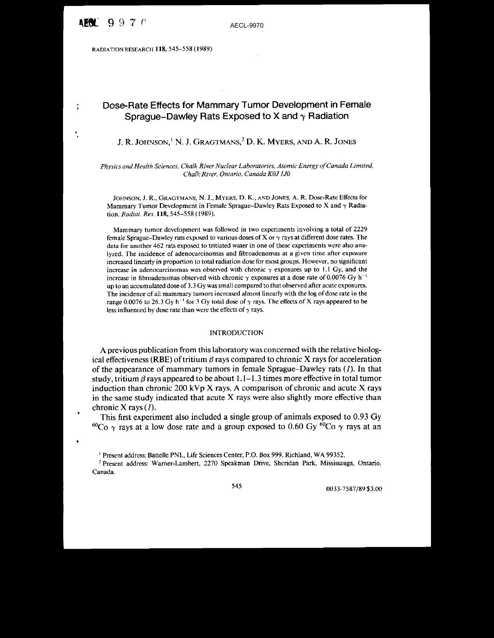ă

RADIATION RESEARCH 118, 545-558 (1989)

# Dose-Rate Effects for Mammary Tumor Development in Female Sprague-Dawley Rats Exposed to X and  $\gamma$  Radiation

J. R. JOHNSON,<sup>1</sup> N. J. GRAGTMANS,<sup>2</sup> D. K. MYERS, AND A. R. JONES

*Physics and Health Sciences, Chalk River Nuclear Laboratories, Atomic Energy ofCanada Limited, Chalk River, Ontario, Canada KOJ IJO*

JOHNSON, J. R., GRAGTMANS, N. J., MYERS, D. K., AND JONES, A. R. Dose-Rate Effects for Mammary Tumor Development in Female Sprague–Dawley Rats Exposed to X and  $\gamma$  Radiation. *Radial. Res.* 118, 545-558 ( t989).

Mammary tumor development was followed in two experiments involving a total of 2229 female Sprague-Dawley rats exposed to various doses of X or  $\gamma$  rays at different dose rates. The data for another 462 rats exposed to tritiated water in one of these experiments were also analyzed. The incidence of adenocarcinomas and fibroadenomas at a given time after exposure increased linearly in proportion to total radiation dose for most groups. However, no significant increase in adenocarcinomas was observed with chronic  $\gamma$  exposures up to 1.1 Gy, and the increase in fibroadenomas observed with chronic  $\gamma$  exposures at a dose rate of 0.0076 Gy h<sup>-1</sup> up to an accumulated dose of 3.3 Gy was small compared to that observed after acute exposures. The incidence of all mammary tumors increased almost linearly with the log ofdose rate in the range 0.0076 to 26.3 Gy h<sup>-1</sup> for 3 Gy total dose of  $\gamma$  rays. The effects of X rays appeared to be less influenced by dose rate than were the effects of  $\gamma$  rays.

## INTRODUCTION

A previous publication from this laboratory was concerned with the relative biological effectiveness (RBE) of tritium  $\beta$  rays compared to chronic X rays for acceleration of the appearance of mammary tumors in female Sprague-Dawley rats (1). In that study, tritium  $\beta$  rays appeared to be about 1.1–1.3 times more effective in total tumor induction than chronic 200 kVp X rays. A comparison of chronic and acute X rays in the same study indicated that acute X rays were also slightly more effective than chronic X rays  $(I)$ .

This first experiment also included a single group of animals exposed to 0.93 Gy <sup>60</sup>Co  $\gamma$  rays at a low dose rate and a group exposed to 0.60 Gy <sup>60</sup>Co  $\gamma$  rays at an

<sup>I</sup> Present address: Battelle PNL, Life Sciences Center, P.O. Box 999, Richland, WA 99352.

<sup>2</sup> Present address: Warner-Lambert, 2270 Speakman Drive, Sheridan Park, Mississauga, Ontario, Canada.

545 6033-7587/89 \$3.00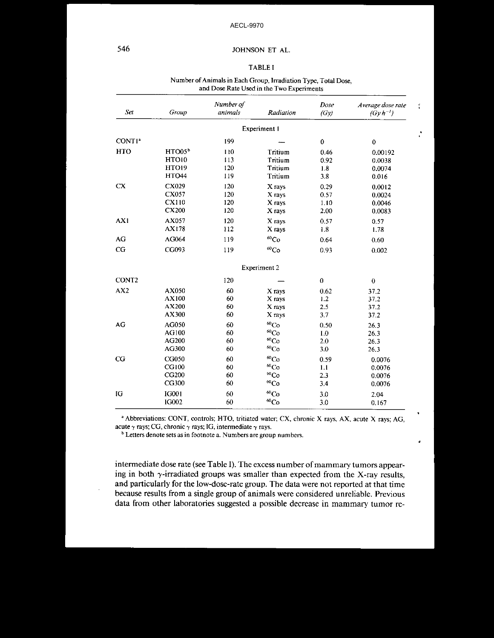# JOHNSON ET AL.

#### **TABLE I**

#### Number of Animals in Each Group, Irradiation Type, Total Dose, and Dose Rate Used in the Two Experiments

| Set                            | Group              | Number of<br><i>animals</i> | Radiation            | Dose<br>(Gy) | Average dose rate<br>$(Gy h^{-1})$ |  |
|--------------------------------|--------------------|-----------------------------|----------------------|--------------|------------------------------------|--|
|                                |                    |                             | Experiment 1         |              |                                    |  |
| CONT <sub>1</sub> <sup>*</sup> |                    | 199                         |                      | 0            | $\bf{0}$                           |  |
| <b>HTO</b>                     | HTO05 <sup>b</sup> | 110                         | Tritium              | 0.46         | 0.00192                            |  |
|                                | HTO10              | 113                         | Tritium              | 0.92         | 0.0038                             |  |
|                                | <b>HTO19</b>       | 120                         | Tritium              | 1.8          | 0.0074                             |  |
|                                | <b>HTO44</b>       | 119                         | Tritium              | 3.8          | 0.016                              |  |
| <b>CX</b>                      | CX029              | 120                         | X rays               | 0.29         | 0.0012                             |  |
|                                | CX057              | 120                         | X rays               | 0.57         | 0.0024                             |  |
|                                | CX110              | 120                         | X rays               | 1.10         | 0.0046                             |  |
|                                | <b>CX200</b>       | 120                         | X rays               | 2.00         | 0.0083                             |  |
| AX1                            | AX057              | 120                         | X rays               | 0.57         | 0.57                               |  |
|                                | AX178              | 112                         | X rays               | 1.8          | 1.78                               |  |
| AG                             | AG064              | 119                         | ${}^{60}Co$          | 0.64         | 0.60                               |  |
| CG                             | CG093              | 119                         | ${}^{60}Co$          | 0.93         | 0.002                              |  |
|                                |                    |                             | <b>Experiment 2</b>  |              |                                    |  |
| CONT <sub>2</sub>              |                    | 120                         |                      | $\bf{0}$     | $\bf{0}$                           |  |
| AX2                            | AX050              | 60                          | X rays               | 0.62         | 37.2                               |  |
|                                | AX100              | 60                          | X rays               | 1.2          | 37.2                               |  |
|                                | AX200              | 60                          | X rays               | 2.5          | 37.2                               |  |
|                                | AX300              | 60                          | X rays               | 3.7          | 37.2                               |  |
| AG                             | AG050              | 60                          | ${}^{60}Co$          | 0.50         | 26.3                               |  |
|                                | AG100              | 60                          | ${}^{60}\mathrm{Co}$ | 1.0          | 26.3                               |  |
|                                | AG200              | 60                          | ${}^{60}Co$          | 2.0          | 26.3                               |  |
|                                | AG300              | 60                          | ${}^{60}Co$          | 3.0          | 26.3                               |  |
| CG                             | CG050              | 60                          | ${}^{60}Co$          | 0.59         | 0.0076                             |  |
|                                | CG100              | 60                          | $^{60}Co$            | 1.1          | 0.0076                             |  |
|                                | CG200              | 60                          | $^{60}\mathrm{Co}$   | 2.3          | 0.0076                             |  |
|                                | CG300              | 60                          | ${}^{60}\mathrm{Co}$ | 3,4          | 0.0076                             |  |
| IG                             | <b>IG001</b>       | 60                          | ${}^{60}Co$          | 3.0          | 2.04                               |  |
|                                | IG002              | 60                          | ${}^{60}\mathrm{Co}$ | 3.0          | 0.167                              |  |

a Abbreviations: CONT, controls; HTO, tritiated water; CX, chronic X rays, AX, acute X rays; AG, acute  $\gamma$  rays; CG, chronic  $\gamma$  rays; IG, intermediate  $\gamma$  rays.

J

<sup>b</sup> Letters denote sets as in footnote a. Numbers are group numbers.

intermediate dose rate (see Table I). The excess number of mammary tumors appearing in both  $\gamma$ -irradiated groups was smaller than expected from the X-ray results, and particularly for the low-dose-rate group. The data were not reported at that time because results from a single group of animals were considered unreliable. Previous data from other laboratories suggested a possible decrease in mammary tumor re-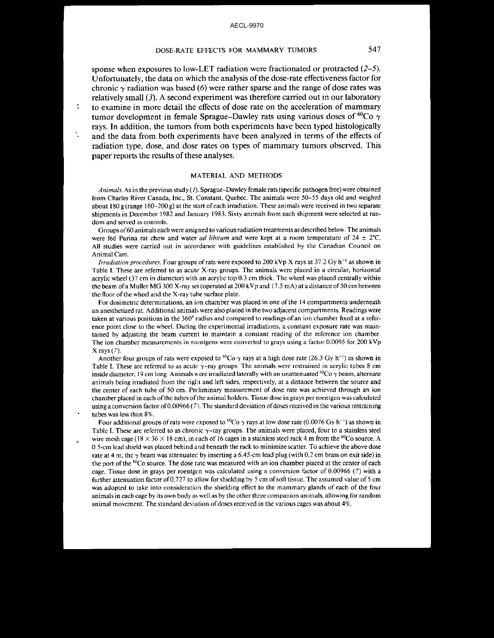## DOSE-RATE EFFECTS FOR MAMMARY TUMORS 547

sponse when exposures to low-LET radiation were fractionated or protracted (2-5). Unfortunately, the data on which the analysis of the dose-rate effectiveness factor for chronic  $\gamma$  radiation was based (6) were rather sparse and the range of dose rates was relatively small  $(3)$ . A second experiment was therefore carried out in our laboratory to examine in more detail the effects of dose rate on the acceleration of mammary tumor development in female Sprague-Dawley rats using various doses of  ${}^{60}Co \gamma$ rays. In addition, the tumors from both experiments have been typed histologically and the data from both experiments have been analyzed in terms of the effects of radiation type, dose, and dose rates on types of mammary tumors observed. This paper reports the results of these analyses.

×.

#### MATERIAL AND METHODS

*Animals.* As in the previous study (I). Sprague-Dawley female rats (specific pathogen free) were obtained from Charles River Canada, Inc., St. Constant, Quebec. The animals were 50-55 days old and weighed about 180 g (range 160–200 g) at the start of each irradiation. These animals were received in two separate shipments in December 1982 and January 1983. Sixty animals from each shipment were selected at random and served as controls.

Groups of60 animals each were assigned to various radiation treatments as described below. The animals were fed Purina rat chow and water *ad libitum* and were kept at a room temperature of  $24 \pm 2^{\circ}\text{C}$ . All studies were carried out in accordance with guidelines established by the Canadian Council on Animal Care.

*Irradiation procedures.* Four groups of rats were exposed to 200 kVp X rays at 37.2 Gy  $h^{-1}$  as shown in Table I. These are referred to as acute X-ray groups. The animals were placed in a circular, horizontal acrylic wheel (37 em in diameter) with an acrylic top 0.3 em thick. The wheel was placed centrally within the beam of a Muller MG 300 X-ray set (operated at 200 kVp and 17.5 mA) at a distance of 50 cm between the floor of the wheel and the X-ray tube surface plate.

For dosimetric determinations, an ion chamber was placed in one of the 14 compartments underneath an anesthetized rat. Additional animals were also placed in the two adjacent compartments. Readings were taken at various positions in the 360° radius and compared to readings of an ion chamber fixed at a reference point close to the wheel. During the experimental irradiations, a constant exposure rate was maintained by adjusting the beam current to maintain a constant reading of the reference ion chamber. The ion chamber measurements in roentgens were converted to grays using a factor 0.0095 for 200 kVp  $X$  rays  $(7)$ .

Another four groups of rats were exposed to <sup>60</sup>Co  $\gamma$  rays at a high dose rate (26.3 Gy h<sup>-1</sup>) as shown in Table I. These are referred to as acute  $\gamma$ -ray groups. The animals were restrained in acrylic tubes 8 cm inside diameter, 19 cm long. Animals were irradiated laterally with an unattenuated  ${}^{60}Co \gamma$  beam, alternate animals being irradiated from the right and left sides, respectively, at a distance between the source and the center of each tube of 50 cm. Preliminary measurement of dose rate was achieved through an ion chamber placed in each of the tubes of the animal holders. Tissue dose in grays per roentgen was calculated using a conversion factor of0.00966 (7). The standard deviation ofdoses received in the various restraining tubes was less than 8%.

Four additional groups of rats were exposed to <sup>60</sup>Co  $\gamma$  rays at low dose rate (0.0076 Gy h<sup>-1</sup>) as shown in Table I. These are referred to as chronic  $\gamma$ -ray groups. The animals were placed, four to a stainless steel wire mesh cage ( $18 \times 36 \times 18$  cm), in each of 16 cages in a stainless steel rack 4 m from the <sup>60</sup>Co source. A 0.5-cm lead shield was placed behind and beneath the rack to minimize scatter. To achieve the above dose rate at 4 m, the  $\gamma$  beam was attenuated by inserting a 6.45-cm lead plug (with 0.2 cm brass on exit side) in the port of the <sup>60</sup>Co source. The dose rate was measured with an ion chamber placed at the center of each cage. Tissue dose in grays per roentgen was calculated using a conversion factor of 0.00966 (7) with a further attenuation factor of0.727 to allow for shielding by 5 em ofsoft tissue. The assumed value of 5 em was adopted to take into consideration the shielding effect to the mammary glands of each of the four animals in each cage by its own body as well as by the other three companion animals, allowing for random animal movement. The standard deviation of doses received in the various cages was about 4%.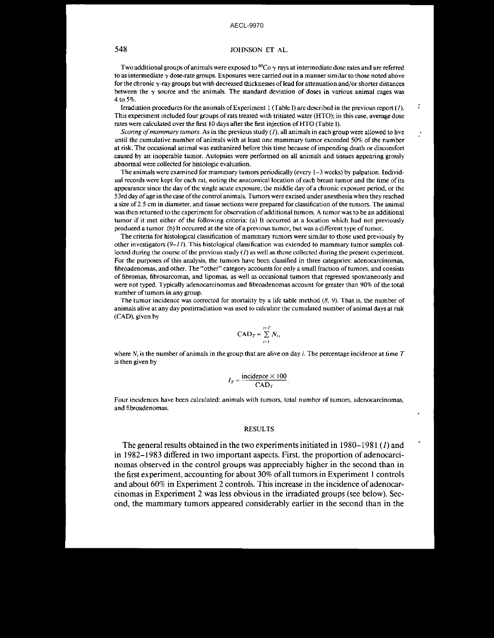## 548 JOHNSON ET AL.

Two additional groups of animals were exposed to <sup>60</sup>Co  $\gamma$  rays at intermediate dose rates and are referred to as intermediate  $\gamma$  dose-rate groups. Exposures were carried out in a manner similar to those noted above for the chronic  $\gamma$ -ray groups but with decreased thicknesses of lead for attenuation and/or shorter distances between the  $\gamma$  source and the animals. The standard deviation of doses in various animal cages was 4 to 5%.

Irradiation procedures for the animals of Experiment 1 (Table I) are described in the previous report (1). This experiment included four groups of rats treated with tritiated water (HTO); in this case, average dose rates were calculated over the first 10 days after the first injection of HTO (Table I).

*Scoring of mammary tumors.* As in the previous study  $(1)$ , all animals in each group were allowed to live until the cumulative number of animals with at least one mammary tumor exceeded 50% of the number at risk. The occasional animal was euthanized before this time because ofimpending death or discomfort caused by an inoperable tumor. Autopsies were performed on all animals and tissues appearing grossly abnormal were collected for histologic evaluation.

The animals were examined for mammary tumors periodically (every 1-3 weeks) by palpation. Individual records were kept for each rat, noting the anatomical location of each breast tumor and the time ofits appearance since the day of the single acute exposure, the middle day of a chronic exposure period, or the 53rdday ofage in the case ofthe control animals. Tumors were excised under anesthesia when they reached a size of2.5 cm in diameter, and tissue sections were prepared for classification ofthe tumors. The animal was then returned to the experiment for observation of additional tumors. A tumor was to be an additional tumor if it met either of the following criteria: (a) It occurred at a location which had not previously produced a tumor. (b) It occurred at the site of a previous tumor, but was a different type of tumor.

The criteria for histological classification of mammary tumors were similar to those used previously by other investigators  $(9-I)$ . This histological classification was extended to mammary tumor samples collected during the course of the previous study  $(1)$  as well as those collected during the present experiment. For the purposes of this analysis, the tumors have been classified in three categories: adenocarcinomas, fibroadenomas, and other. The "other" category accounts for only a small fraction oftumors, and consists of fibromas, fibrosarcomas, and lipomas, as well as occasional tumors that regressed spontaneously and were not typed. Typically adenocarcinomas and fibroadenomas account for greater than 90% of the total number of tumors in any group.

The tumor incidence was corrected for mortality by a life table method  $(8, 9)$ . That is, the number of animals alive at any day postirradiation was used to calculate the cumulated number ofanimal days at risk (CAD), given by

$$
CAD_T = \sum_{i=1}^{i=T} N_i,
$$

where  $N_i$  is the number of animals in the group that are alive on day *i*. The percentage incidence at time  $T$ is then given by

$$
I_T = \frac{\text{incidence} \times 100}{\text{CAD}_T}.
$$

Four incidences have been calculated: animals with tumors, total number of tumors, adenocarcinomas, and fibroadenomas.

#### **RESULTS**

The general results obtained in the two experiments initiated in 1980-1981 (1) and in 1982-1983 differed in two important aspects, First, the proportion of adenocarcinomas observed in the control groups was appreciably higher in the second than in the first experiment, accounting for about 30% ofall tumors in Experiment I controls and about  $60\%$  in Experiment 2 controls. This increase in the incidence of adenocarcinomas in Experiment 2 was less obvious in the irradiated groups (see below). Second, the mammary tumors appeared considerably earlier in the second than in the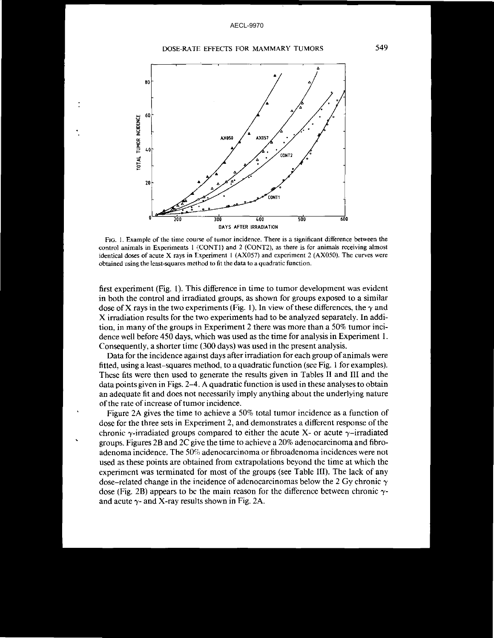#### DOSE-RATE EFFECTS FOR MAMMARY TUMORS



**FIG. 1. Example of the time course of tumor incidence. There is a significant difference between the control animals in Experiments 1 (CONTI) and 2 (CONT2), as there is for animals receiving almost identical doses of acute X rays in Experiment 1 (AX057) and experiment 2 (AX050). The curves were obtained using the least-squares method to fit the data to a quadratic function.**

first experiment (Fig. I). This difference in time to tumor development was evident in both the control and irradiated groups, as shown for groups exposed to a similar dose of X rays in the two experiments (Fig. 1). In view of these differences, the  $\gamma$  and X irradiation results for the two experiments had to be analyzed separately. In addition, in many of the groups in Experiment 2 there was more than a 50% tumor incidence well before 450 days, which was used as the time for analysis in Experiment 1. Consequently, a shorter time (300 days) was used in the present analysis.

Data for the incidence against days after irradiation for each group of animals were fitted, using a least-squares method, to a quadratic function (see Fig. 1 for examples). These fits were then used to generate the results given in Tables II and III and the data points given in Figs. 2-4. A quadratic function is used in these analyses to obtain an adequate fit and does not necessarily imply anything about the underlying nature of the rate of increase of tumor incidence.

Figure 2A gives the time to achieve a 50% total tumor incidence as a function of dose for the three sets in Experiment 2, and demonstrates a different response ofthe chronic  $\gamma$ -irradiated groups compared to either the acute X- or acute  $\gamma$ -irradiated groups. Figures 2B and 2C give the time to achieve a 20% adenocarcinoma and fibroadenoma incidence. The 50% adenocarcinoma or fibroadenoma incidences were not used as these points are obtained from extrapolations beyond the time at which the experiment was terminated for most of the groups (see Table III). The lack of any dose–related change in the incidence of adenocarcinomas below the 2 Gy chronic  $\gamma$ dose (Fig. 2B) appears to be the main reason for the difference between chronic  $\gamma$ and acute  $\gamma$ - and X-ray results shown in Fig. 2A.

549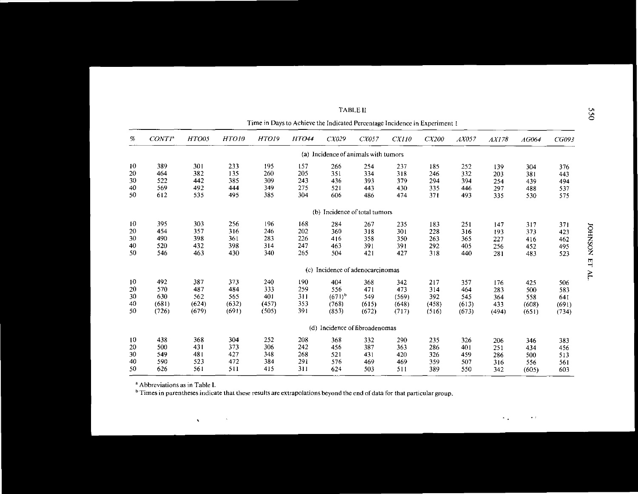|    |                    |       |       |              | Time in Days to Achieve the Indicated Percentage Incidence in Experiment 1 |                                      |       |       |       |       |       |       |       |
|----|--------------------|-------|-------|--------------|----------------------------------------------------------------------------|--------------------------------------|-------|-------|-------|-------|-------|-------|-------|
| %  | CONTI <sup>a</sup> | HTO05 | HTO10 | <b>HTO19</b> | <b>HTO44</b>                                                               | CX029                                | CX057 | CXII0 | CX200 | AX057 | AX178 | AG064 | CG093 |
|    |                    |       |       |              |                                                                            | (a) Incidence of animals with tumors |       |       |       |       |       |       |       |
| 10 | 389                | 301   | 233   | 195          | 157                                                                        | 266                                  | 254   | 237   | 185   | 252   | 139   | 304   | 376   |
| 20 | 464                | 382   | 135   | 260          | 205                                                                        | 351                                  | 334   | 318   | 246   | 332   | 203   | 381   | 443   |
| 30 | 522                | 442   | 385   | 309          | 243                                                                        | 436                                  | 393   | 379   | 294   | 394   | 254   | 439   | 494   |
| 40 | 569                | 492   | 444   | 349          | 275                                                                        | 521                                  | 443   | 430   | 335   | 446   | 297   | 488   | 537   |
| 50 | 612                | 535   | 495   | 385          | 304                                                                        | 606                                  | 486   | 474   | 371   | 493   | 335   | 530   | 575   |
|    |                    |       |       |              |                                                                            | (b) Incidence of total tumors        |       |       |       |       |       |       |       |
| 10 | 395                | 303   | 256   | 196          | 168                                                                        | 284                                  | 267   | 235   | 183   | 251   | 147   | 317   | 371   |
| 20 | 454                | 357   | 316   | 246          | 202                                                                        | 360                                  | 318   | 301   | 228   | 316   | 193   | 373   | 423   |
| 30 | 490                | 398   | 361   | 283          | 226                                                                        | 416                                  | 358   | 350   | 263   | 365   | 227   | 416   | 462   |
| 40 | 520                | 432   | 398   | 314          | 247                                                                        | 463                                  | 391   | 391   | 292   | 405   | 256   | 452   | 495   |
| 50 | 546                | 463   | 430   | 340          | 265                                                                        | 504                                  | 421   | 427   | 318   | 440   | 281   | 483   | 523   |
|    |                    |       |       |              | (c)                                                                        | Incidence of adenocarcinomas         |       |       |       |       |       |       |       |
| 10 | 492                | 387   | 373   | 240          | 190                                                                        | 404                                  | 368   | 342   | 217   | 357   | 176   | 425   | 506   |
| 20 | 570                | 487   | 484   | 333          | 259                                                                        | 556                                  | 471   | 473   | 314   | 464   | 283   | 500   | 583   |
| 30 | 630                | 562   | 565   | 401          | 311                                                                        | $(671)^{b}$                          | 549   | (569) | 392   | 545   | 364   | 558   | 641   |
| 40 | (681)              | (624) | (632) | (457)        | 353                                                                        | (768)                                | (615) | (648) | (458) | (613) | 433   | (608) | (691) |
| 50 | (726)              | (679) | (691) | (505)        | 391                                                                        | (853)                                | (672) | (717) | (516) | (673) | (494) | (651) | (734) |
|    |                    |       |       |              |                                                                            | (d) Incidence of fibroadenomas       |       |       |       |       |       |       |       |
| 10 | 438                | 368   | 304   | 252          | 208                                                                        | 368                                  | 332   | 290   | 235   | 326   | 206   | 346   | 383   |
| 20 | 500                | 431   | 373   | 306          | 242                                                                        | 456                                  | 387   | 363   | 286   | 401   | 251   | 434   | 456   |
| 30 | 549                | 481   | 427   | 348          | 268                                                                        | 521                                  | 431   | 420   | 326   | 459   | 286   | 500   | 513   |
| 40 | 590                | 523   | 472   | 384          | 291                                                                        | 576                                  | 469   | 469   | 359   | 507   | 316   | 556   | 561   |
| 50 | 626                | 561   | 511   | 415          | 311                                                                        | 624                                  | 503   | 511   | 389   | 550   | 342   | (605) | 603   |

TABLE II

<sup>a</sup> **Abbreviations as in Table l.**

 $\mathbf{v}$ 

 $\kappa$ 

<sup>b</sup> Times in parentheses indicate that these results are extrapolations beyond the end of data for that particular group.

ج "' ...,  $\blacksquare$ 

v. 0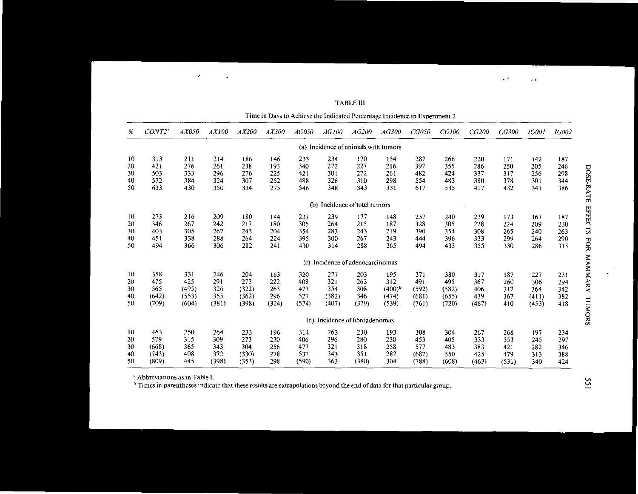|    |                    |       |       |       |       |       | Time in Days to Achieve the Indicated Percentage Incidence in Experiment 2 |                           |             |       |       |       |       |              |              |
|----|--------------------|-------|-------|-------|-------|-------|----------------------------------------------------------------------------|---------------------------|-------------|-------|-------|-------|-------|--------------|--------------|
| %  | CONT2 <sup>a</sup> | AX050 | AX100 | AX200 | AX300 | AG050 | AG100                                                                      | AG200                     | AG300       | CGO50 | CG100 | CG200 | CG300 | <b>IG001</b> | <b>IG002</b> |
|    |                    |       |       |       |       |       | (a) Incidence of animals with tumors                                       |                           |             |       |       |       |       |              |              |
| 10 | 313                | 211   | 214   | 186   | 146   | 233   | 234                                                                        | 170                       | 154         | 287   | 266   | 220   | 171   | 142          | 187          |
| 20 | 421                | 276   | 261   | 238   | 193   | 340   | 272                                                                        | 227                       | 216         | 397   | 355   | 286   | 250   | 205          | 246          |
| 30 | 503                | 333   | 296   | 276   | 225   | 421   | 301                                                                        | 272                       | 261         | 482   | 424   | 337   | 317   | 256          | 298          |
| 40 | 572                | 384   | 324   | 307   | 252   | 488   | 326                                                                        | 310                       | 298         | 554   | 483   | 380   | 378   | 301          | 344          |
| 50 | 633                | 430   | 350   | 334   | 275   | 546   | 348                                                                        | 343                       | 331         | 617   | 535   | 417   | 432   | 341          | 386          |
|    |                    |       |       |       |       | (b)   |                                                                            | Incidence of total tumors |             |       |       |       |       |              |              |
| 10 | 273                | 216   | 209   | 180   | 144   | 237   | 239                                                                        | 177                       | 148         | 257   | 240   | 239   | 173   | 167          | 187          |
| 20 | 346                | 267   | 242   | 217   | 180   | 305   | 264                                                                        | 215                       | 187         | 328   | 305   | 278   | 224   | 209          | 230          |
| 30 | 403                | 305   | 267   | 243   | 204   | 354   | 283                                                                        | 243                       | 219         | 390   | 354   | 308   | 265   | 240          | 263          |
| 40 | 451                | 338   | 288   | 264   | 224   | 395   | 300                                                                        | 267                       | 243         | 444   | 396   | 333   | 299   | 264          | 290          |
| 50 | 494                | 366   | 306   | 282   | 241   | 430   | 314                                                                        | 288                       | 265         | 494   | 433   | 355   | 330   | 286          | 315          |
|    |                    |       |       |       |       | (c)   | Incidence of adenocarcinomas                                               |                           |             |       |       |       |       |              |              |
| 10 | 358                | 331   | 246   | 204   | 163   | 320   | 277                                                                        | 203                       | 195         | 371   | 380   | 317   | 187   | 227          | 231          |
| 20 | 475                | 425   | 291   | 273   | 222   | 408   | 321                                                                        | 263                       | 312         | 491   | 495   | 367   | 260   | 306          | 294          |
| 30 | 565                | (495) | 326   | (322) | 263   | 473   | 354                                                                        | 308                       | $(400)^{b}$ | (592) | (582) | 406   | 317   | 364          | 342          |
| 40 | (642)              | (553) | 355   | (362) | 296   | 527   | (382)                                                                      | 346                       | (474)       | (681) | (655) | 439   | 367   | (411)        | 382          |
| 50 | (709)              | (604) | (381) | (398) | (324) | (574) | (407)                                                                      | (379)                     | (539)       | (761) | (720) | (467) | 410   | (453)        | 418          |
|    |                    |       |       |       |       | (d)   | Incidence of fibroadenomas                                                 |                           |             |       |       |       |       |              |              |
| 10 | 463                | 250   | 264   | 233   | 196   | 314   | 263                                                                        | 230                       | 193         | 308   | 304   | 267   | 268   | 197          | 234          |
| 20 | 579                | 315   | 309   | 273   | 230   | 406   | 296                                                                        | 280                       | 230         | 453   | 405   | 333   | 353   | 245          | 297          |
| 30 | (668)              | 365   | 343   | 304   | 256   | 477   | 321                                                                        | 318                       | 258         | 577   | 483   | 383   | 421   | 282          | 346          |
| 40 | (743)              | 408   | 372   | (330) | 278   | 537   | 343                                                                        | 351                       | 282         | (687) | 550   | 425   | 479   | 313          | 388          |
| 50 | (809)              | 445   | (398) | (353) | 298   | (590) | 363                                                                        | (380)                     | 304         | (788) | (608) | (463) | (531) | 340          | 424          |
|    |                    |       |       |       |       |       |                                                                            |                           |             |       |       |       |       |              |              |

**TABLE III** 

<sup>a</sup> Abbreviations as in Table I.

 $\mathcal{L}_{\mathcal{A}}$ 

 $\bullet$ 

<sup>b</sup> Times in parentheses indicate that these results are extrapolations beyond the end of data for that particular group.

DOSE-RATE EFFECTS FOR MAMMARY TUMORS

 $\ddot{\phantom{0}}$ 

 $\sim$   $^{\star}$ 

 $\rightarrow$   $\infty$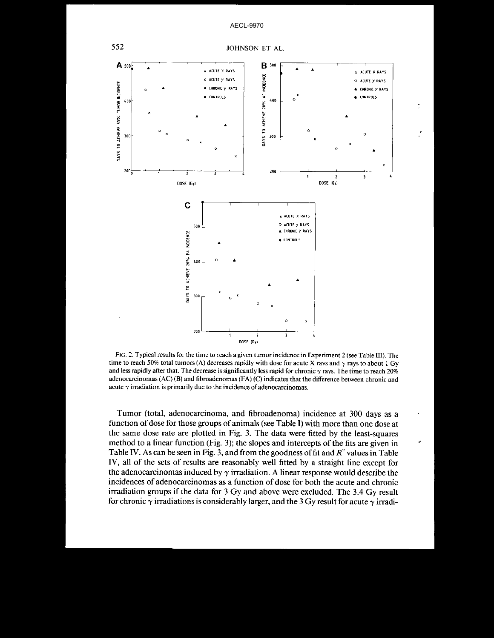

FIG. 2. Typical results for the time to reach a given tumor incidence in Experiment 2 (see Table III). The time to reach 50% total tumors (A) decreases rapidly with dose for acute X rays and  $\gamma$  rays to about 1 Gy and less rapidly after that. The decrease is significantly less rapid for chronic  $\gamma$  rays. The time to reach 20% adenocarcinomas (AC) (B) and fibroadenomas (FA) (C) indicates that the difference between chronic and acute  $\gamma$  irradiation is primarily due to the incidence of adenocarcinomas.

Tumor (total, adenocarcinoma, and fibroadenoma) incidence at 300 days as a function of dose for those groups of animals (see Table I) with more than one dose at the same dose rate are plotted in Fig. 3. The data were fitted by the least-squares method to a linear function (Fig. 3); the slopes and intercepts of the fits are given in Table IV. As can be seen in Fig. 3, and from the goodness of fit and  $R<sup>2</sup>$  values in Table IV, all of the sets of results are reasonably well fitted by a straight line except for the adenocarcinomas induced by  $\gamma$  irradiation. A linear response would describe the incidences of adenocarcinomas as a function of dose for both the acute and chronic irradiation groups if the data for 3 Gy and above were excluded. The 3.4 Gy result for chronic  $\gamma$  irradiations is considerably larger, and the 3 Gy result for acute  $\gamma$  irradi-

552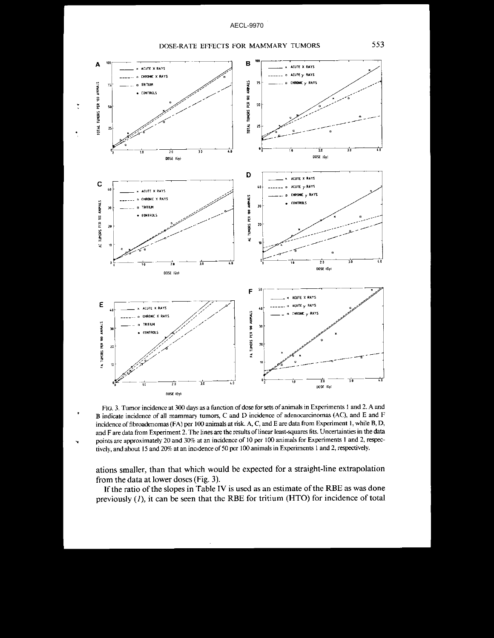



FIG. 3. Tumor incidence at 300 days as a function of dose for sets of animals in Experiments 1 and 2. A and B indicate incidence of all mammary tumors, C and D incidence of adenocarcinomas (AC), and E and F incidence of fibroadenomas (FA) per 100 animals at risk. A, C, and E are data from Experiment 1, while B, D, and F are data from Experiment 2. The lines are the results of linear least-squares fits. Uncertainties in the data points are approximately 20 and 30% at an incidence of 10 per 100 animals for Experiments 1 and 2, respectively, and about 15 and 20% at an incidence of 50 per 100 animals in Experiments 1 and 2, respectively.

ations smaller, than that which would be expected for a straight-line extrapolation from the data at lower doses (Fig. 3).

If the ratio of the slopes in Table IV is used as an estimate of the RBE as was done previously  $(I)$ , it can be seen that the RBE for tritium (HTO) for incidence of total

553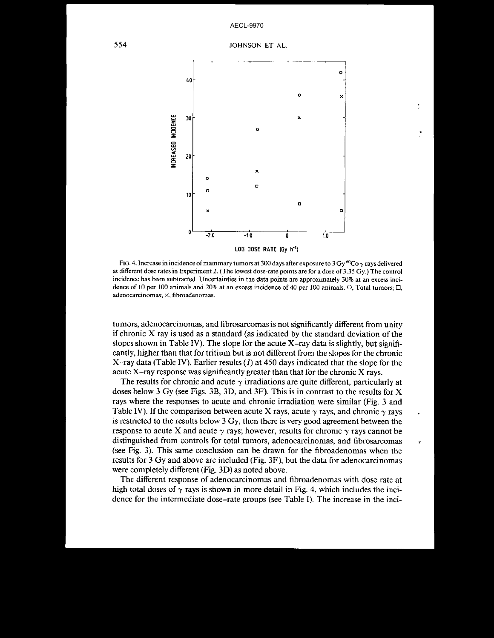

FIG. 4. Increase in incidence of mammary tumors at 300 days after exposure to 3 Gy  $\rm{^{60}Co}$   $\gamma$  rays delivered at different dose rates in Experiment 2. (The lowest dose-rate points are for a dose of 3.35 Gy.) The control **incidence has been subtracted. Uncertainties in the data points are approximately 30% at an excess inci**dence of 10 per 100 animals and 20% at an excess incidence of 40 per 100 animals.  $\circ$ , Total tumors;  $\Box$ , **adenocarcinomas; x, fibroadenomas.**

tumors, adenocarcinomas, and fibrosarcomas is not significantly different from unity if chronic  $X$  ray is used as a standard (as indicated by the standard deviation of the slopes shown in Table IV). The slope for the acute  $X$ -ray data is slightly, but significantly, higher than that for tritium but is not different from the slopes for the chronic X-ray data (Table IV). Earlier results  $(I)$  at 450 days indicated that the slope for the acute X-ray response was significantly greater than that for the chronic X rays.

The results for chronic and acute  $\gamma$  irradiations are quite different, particularly at doses below 3 Gy (see Figs. 3B, 3D, and 3F). This is in contrast to the results for X rays where the responses to acute and chronic irradiation were similar (Fig. 3 and Table IV). If the comparison between acute X rays, acute  $\gamma$  rays, and chronic  $\gamma$  rays is restricted to the results below 3 Gy, then there is very good agreement between the response to acute X and acute  $\gamma$  rays; however, results for chronic  $\gamma$  rays cannot be distinguished from controls for total tumors, adenocarcinomas, and fibrosarcomas , (see Fig. 3). This same conclusion can be drawn for the fibroadenomas when the results for 3 Gy and above are included (Fig. 3F), but the data for adenocarcinomas were completely different (Fig. 3D) as noted above.

The different response of adenocarcinomas and fibroadenomas with dose rate at high total doses of  $\gamma$  rays is shown in more detail in Fig. 4, which includes the incidence for the intermediate dose-rate groups (see Table I). The increase in the inci-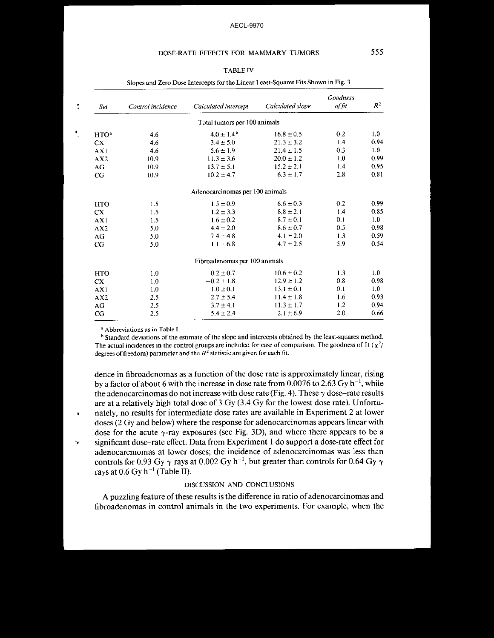## DOSE-RATE EFFECTS FOR MAMMARY TUMORS 555

## TABLE IV

| Set              | Control incidence | Calculated intercept            | Calculated slope | Goodness<br>of fit | $R^2$ |
|------------------|-------------------|---------------------------------|------------------|--------------------|-------|
|                  |                   | Total tumors per 100 animals    |                  |                    |       |
| HTO <sup>a</sup> | 4.6               | $4.0 \pm 1.4^{\rm b}$           | $16.8 \pm 0.5$   | 0.2                | 1.0   |
| CX.              | 4.6               | $3.4 \pm 5.0$                   | $21.3 \pm 3.2$   | 1.4                | 0.94  |
| AX1              | 4.6               | $5.6 \pm 1.9$                   | $21.4 \pm 1.5$   | 0.3                | 1.0   |
| AX2              | 10.9              | $11.3 \pm 3.6$                  | $20.0 \pm 1.2$   | 1.0                | 0.99  |
| AG               | 10.9              | $13.7 \pm 5.1$                  | $15.2 \pm 2.1$   | 1.4                | 0.95  |
| CG               | 10.9              | $10.2 \pm 4.7$                  | $6.3 \pm 1.7$    | 2.8                | 0.81  |
|                  |                   | Adenocarcinomas per 100 animals |                  |                    |       |
| <b>HTO</b>       | 1.5               | $1.5 \pm 0.9$                   | $6.6 \pm 0.3$    | 0.2                | 0.99  |
| CX.              | 1.5               | $1.2 \pm 3.3$                   | $8.8 \pm 2.1$    | 1.4                | 0.85  |
| AX1              | 1.5               | $1.6 \pm 0.2$                   | $8.7 \pm 0.1$    | 0,1                | 1.0   |
| AX2              | 5.0               | $4.4 \pm 2.0$                   | $8.6 \pm 0.7$    | 0.5                | 0.98  |
| AG               | 5.0               | $7.4 \pm 4.8$                   | $4.1 \pm 2.0$    | 1.3                | 0.59  |
| CG               | 5.0               | $1.1 \pm 6.8$                   | $4.7 \pm 2.5$    | 5.9                | 0.54  |
|                  |                   | Fibroadenomas per 100 animals   |                  |                    |       |
| <b>HTO</b>       | 1.0               | $0.2 \pm 0.7$                   | $10.6 \pm 0.2$   | 1.3                | 1.0   |
| CX               | 1.0               | $-0.2 \pm 1.8$                  | $12.9 \pm 1.2$   | 0.8                | 0.98  |
| AX1              | 1.0               | $1.0 \pm 0.1$                   | $13.1 \pm 0.1$   | 0.1                | 1.0   |
| AX2              | 2.5               | $2.7 \pm 5.4$                   | $11.4 \pm 1.8$   | 1.6                | 0.93  |
| AG               | 2.5               | $3.7 \pm 4.1$                   | $11.3 \pm 1.7$   | 1.2                | 0.94  |
| CG               | 2.5               | $5.4 \pm 2.4$                   | $2.1 \pm 6.9$    | 2.0                | 0.66  |

Slopes and Zero Dose Intercepts for the Linear Least-Squares Fits Shown in Fig. 3

<sup>a</sup> Abbreviations as in Table I.

 $\bullet$ 

<sup>b</sup> Standard deviations of the estimate of the slope and intercepts obtained by the least-squares method. The actual incidences in the control groups are included for ease of comparison. The goodness of fit  $(\chi^2/\chi^2)$ degrees of freedom) parameter and the  $R<sup>2</sup>$  statistic are given for each fit.

dence in fibroadenomas as a function of the dose rate is approximately linear, rising by a factor of about 6 with the increase in dose rate from  $0.0076$  to  $2.63$  Gy h $^{-1}$ , while the adenocarcinomas do not increase with dose rate (Fig. 4). These  $\gamma$  dose-rate results are at a relatively high total dose of 3 Gy (3.4 Gy for the lowest dose rate). Unfortunately, no results for intermediate dose rates are available in Experiment 2 at lower doses (2 Gy and below) where the response for adenocarcinomas appears linear with dose for the acute  $\gamma$ -ray exposures (see Fig. 3D), and where there appears to be a " significant dose-rate effect. Data from Experiment 1 do support a dose-rate effect for adenocarcinomas at lower doses; the incidence of adenocarcinomas was less than controls for 0.93 Gy  $\gamma$  rays at 0.002 Gy h $^{-1}$ , but greater than controls for 0.64 Gy  $\gamma$ rays at  $0.6$  Gy h<sup>-1</sup> (Table II).

## DISCUSSION AND CONCLUSIONS

A puzzling feature of these results is the difference in ratio of adenocarcinomas and fibroadenomas in control animals in the two experiments. For example, when the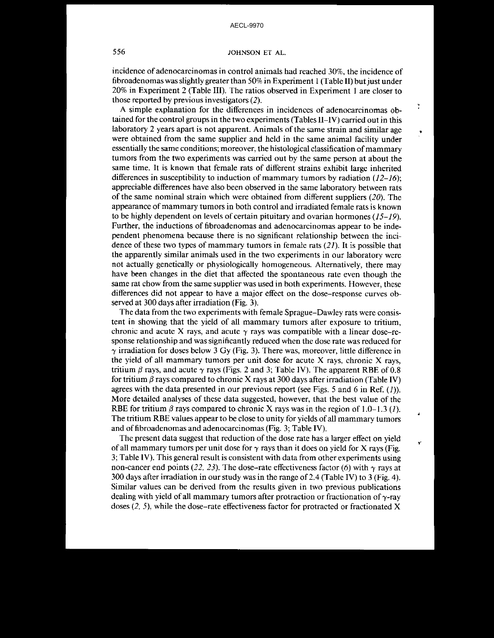## 556 JOHNSON ET AL.

incidence of adenocarcinomas in control animals had reached 30%, the incidence of fibroadenomas was slightly greater than 50% in Experiment 1 (Table II) but just under 20% in Experiment 2 (Table III). The ratios observed in Experiment I are closer to those reported by previous investigators (2).

ż

A simple explanation for the differences in incidences of adenocarcinomas obtained for the control groups in the two experiments (Tables II-IV) carried out in this laboratory 2 years apart is not apparent. Animals of the same strain and similar age were obtained from the same supplier and held in the same animal facility under essentially the same conditions; moreover, the histological classification of mammary tumors from the two experiments was carried out by the same person at about the same time. It is known that female rats of different strains exhibit large inherited differences in susceptibility to induction of mammary tumors by radiation  $(12-16)$ ; appreciable differences have also been observed in the same laboratory between rats of the same nominal strain which were obtained from different suppliers  $(20)$ . The appearance of mammary tumors in both control and irradiated female rats is known to be highly dependent on levels of certain pituitary and ovarian hormones  $(15-19)$ . Further, the inductions of fibroadenomas and adenocarcinomas appear to be independent phenomena because there is no significant relationship between the incidence of these two types of mammary tumors in female rats  $(21)$ . It is possible that the apparently similar animals used in the two experiments in our laboratory were not actually genetically or physiologically homogeneous. Alternatively, there may have been changes in the diet that affected the spontaneous rate even though the same rat chow from the same supplier was used in both experiments. However, these differences did not appear to have a major effect on the dose-response curves observed at 300 days after irradiation (Fig. 3).

The data from the two experiments with female Sprague-Dawley rats were consistent in showing that the yield of all mammary tumors after exposure to tritium, chronic and acute X rays, and acute  $\gamma$  rays was compatible with a linear dose-response relationship and was significantly reduced when the dose rate was reduced for  $\gamma$  irradiation for doses below 3 Gy (Fig. 3). There was, moreover, little difference in the yield of all mammary tumors per unit dose for acute X rays, chronic X rays, tritium  $\beta$  rays, and acute  $\gamma$  rays (Figs. 2 and 3; Table IV). The apparent RBE of 0.8 for tritium  $\beta$  rays compared to chronic X rays at 300 days after irradiation (Table IV) agrees with the data presented in our previous report (see Figs. 5 and 6 in Ref. (1)). More detailed analyses of these data suggested, however, that the best value of the RBE for tritium  $\beta$  rays compared to chronic X rays was in the region of 1.0–1.3 (1). The tritium RBE values appear to be close to unity for yields of all mammary tumors and of fibroadenomas and adenocarcinomas (Fig. 3; Table IV).

The present data suggest that reduction of the dose rate has a larger effect on yield of all mammary tumors per unit dose for  $\gamma$  rays than it does on yield for X rays (Fig. 3; Table IV). This general result is consistent with data from other experiments using non-cancer end points (22, 23). The dose-rate effectiveness factor (6) with  $\gamma$  rays at 300 days after irradiation in our study was in the range of2.4 (Table IV) to 3 (Fig. 4). Similar values can be derived from the results given in two previous publications dealing with yield of all mammary tumors after protraction or fractionation of  $\gamma$ -ray doses  $(2, 5)$ , while the dose-rate effectiveness factor for protracted or fractionated X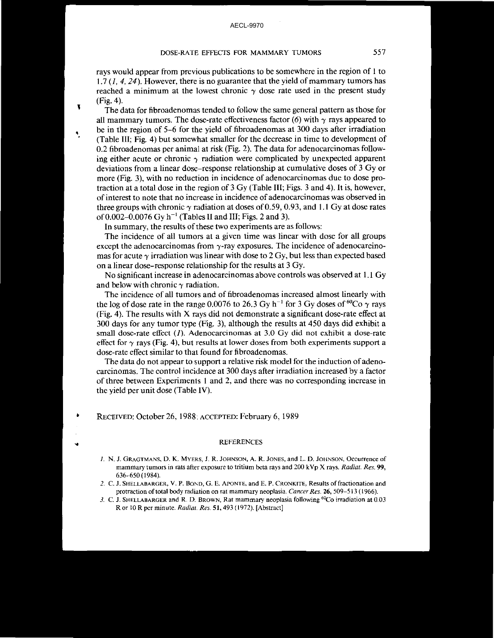## DOSE-RATE EFFECTS FOR MAMMARY TUMORS 557

rays would appear from previous publications to be somewhere in the region of I to 1.7  $(1, 4, 24)$ . However, there is no guarantee that the yield of mammary tumors has reached a minimum at the lowest chronic  $\gamma$  dose rate used in the present study (Fig. 4).

The data for fibroadenomas tended to follow the same general pattern as those for all mammary tumors. The dose-rate effectiveness factor (6) with  $\gamma$  rays appeared to be in the region of 5-6 for the yield of fibroadenomas at 300 days after irradiation (Table Ill; Fig. 4) but somewhat smaller for the decrease in time to development of 0.2 fibroadenomas per animal at risk (Fig. 2). The data for adenocarcinomas following either acute or chronic  $\gamma$  radiation were complicated by unexpected apparent deviations from a linear dose-response relationship at cumulative doses of 3 Gyor more (Fig. 3), with no reduction in incidence of adenocarcinomas due to dose protraction at a total dose in the region of 3 Gy (Table III; Figs. 3 and 4). It is, however, ofinterest to note that no increase in incidence of adenocarcinomas was observed in three groups with chronic  $\gamma$  radiation at doses of 0.59, 0.93, and 1.1 Gy at dose rates of 0.002–0.0076 Gy  $h^{-1}$  (Tables II and III; Figs. 2 and 3).

In summary, the results of these two experiments are as follows:

1

•

•

The incidence of all tumors at a given time was linear with dose for all groups except the adenocarcinomas from  $\gamma$ -ray exposures. The incidence of adenocarcinomas for acute  $\gamma$  irradiation was linear with dose to 2 Gy, but less than expected based on a linear dose-response relationship for the results at 3 Gy.

No significant increase in adenocarcinomas above controls was observed at 1.1 Gy and below with chronic  $\gamma$  radiation.

The incidence of all tumors and of fibroadenomas increased almost linearly with the log of dose rate in the range 0.0076 to 26.3 Gy h<sup>-1</sup> for 3 Gy doses of <sup>60</sup>Co  $\gamma$  rays (Fig. 4). The results with X rays did not demonstrate a significant dose-rate effect at 300 days for any tumor type (Fig. 3), although the results at 450 days did exhibit a **small dose-rate effect (1). Adenocarcinomas at 3.0 Gy did not exhibit a dose-rate** effect for  $\gamma$  rays (Fig. 4), but results at lower doses from both experiments support a dose-rate effect similar to that found for fibroadenomas.

The data do not appear to support a relative risk model for the induction of adenocarcinomas. The control incidence at 300 days after irradiation increased by a factor ofthree between Experiments I and 2, and there was no corresponding increase in the yield per unit dose (Table IV).

RECEIVED: October 26, 1988: ACCEPTED: February 6, 1989

#### REFERENCES

- 1. N. J. GRAGTMANS, D. K. MYERS, J. R. JOHNSON, A. R. JONES, and L. D. JOHNSON, Occurrence of **mammary tumors in rats after exposure to tritium beta rays and 200 kVp X rays.** *Radial. Res. 99,* 636-650(1984).
- **2. C. J. SHELLABARGER, V. P. BOND, G. E. APONTE, and E. P. CRONKITE, Results offraetionation and protraction ohotal body radiation on rat mammary neoplasia.** *Cancer Res.* **26, 509-513 (1966).**
- **3. C. J. SHELLABARGER and R. D. BROWN, Rat mammary neoplasia following 60Co irradiation at 0.03 R or 10 R per minute.** *Radiat. Res.* **51,493 (1972). [Abstract]**